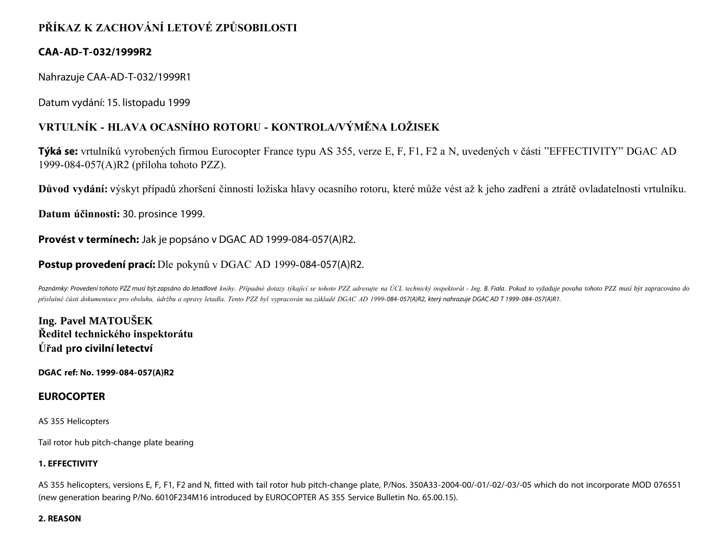# **PŘÍKAZ K ZACHOVÁNÍ LETOVÉ ZPŮSOBILOSTI**

## **CAA-AD-T-032/1999R2**

Nahrazuje CAA-AD-T-032/1999R1

Datum vydání: 15. listopadu 1999

## **VRTULNÍK - HLAVA OCASNÍHO ROTORU - KONTROLA/VÝMĚNA LOŽISEK**

**Týká se:** vrtulníků vyrobených firmou Eurocopter France typu AS 355, verze E, F, F1, F2 a N, uvedených v části "EFFECTIVITY" DGAC AD 1999-084-057(A)R2 (příloha tohoto PZZ).

**Důvod vydání:** výskyt případů zhoršení činnosti ložiska hlavy ocasního rotoru, které může vést až k jeho zadření a ztrátě ovladatelnosti vrtulníku.

**Datum účinnosti:** 30. prosince 1999.

**Provést v termínech:** Jak je popsáno v DGAC AD 1999-084-057(A)R2.

## **Postup provedení prací:** Dle pokynů v DGAC AD 1999-084-057(A)R2.

Poznámky: Provedení tohoto PZZ musí být zapsáno do letadlové knihy. Případné dotazy týkající se tohoto PZZ adresujte na ÚCL technický inspektorát - Ing. B. Fiala. Pokud to vyžaduje povaha tohoto PZZ musí být zapracováno do *příslušné části dokumentace pro obsluhu, údržbu a opravy letadla. Tento PZZ byl vypracován na základě DGAC AD 1999-084- 057(A)R2, který nahrazuje DGAC AD T 1999- 084- 057(A)R1.*

**Ing. Pavel MATOUŠEK Ředitel technického inspektorátu Úřad pro civilní letectví**

**DGAC ref: No. 1999-084-057(A)R2**

### **EUROCOPTER**

AS 355 Helicopters

Tail rotor hub pitch-change plate bearing

#### **1. EFFECTIVITY**

AS 355 helicopters, versions E, F, F1, F2 and N, fitted with tail rotor hub pitch-change plate, P/Nos. 350A33-2004-00/-01/-02/-03/-05 which do not incorporate MOD 076551 (new generation bearing P/No. 6010F234M16 introduced by EUROCOPTER AS 355 Service Bulletin No. 65.00.15).

#### **2. REASON**